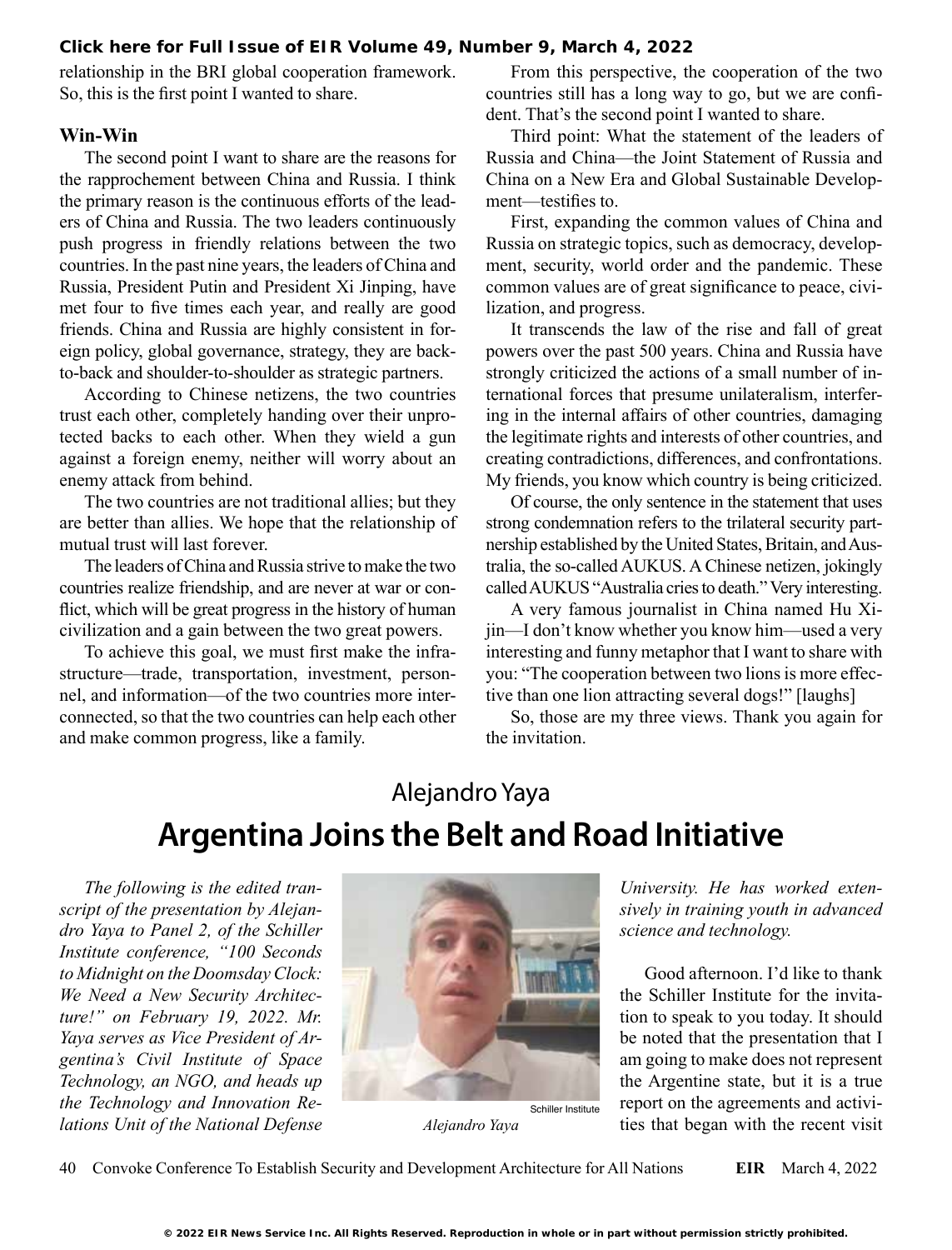**[Click here for Full Issue of EIR Volume 49, Number 9, March 4, 2022](http://www.larouchepub.com/eiw/public/2022/eirv49n09-20220304/index.html)**

relationship in the BRI global cooperation framework. So, this is the first point I wanted to share.

#### **Win-Win**

The second point I want to share are the reasons for the rapprochement between China and Russia. I think the primary reason is the continuous efforts of the leaders of China and Russia. The two leaders continuously push progress in friendly relations between the two countries. In the past nine years, the leaders of China and Russia, President Putin and President Xi Jinping, have met four to five times each year, and really are good friends. China and Russia are highly consistent in foreign policy, global governance, strategy, they are backto-back and shoulder-to-shoulder as strategic partners.

According to Chinese netizens, the two countries trust each other, completely handing over their unprotected backs to each other. When they wield a gun against a foreign enemy, neither will worry about an enemy attack from behind.

The two countries are not traditional allies; but they are better than allies. We hope that the relationship of mutual trust will last forever.

The leaders of China and Russia strive to make the two countries realize friendship, and are never at war or conflict, which will be great progress in the history of human civilization and a gain between the two great powers.

To achieve this goal, we must first make the infrastructure—trade, transportation, investment, personnel, and information—of the two countries more interconnected, so that the two countries can help each other and make common progress, like a family.

From this perspective, the cooperation of the two countries still has a long way to go, but we are confident. That's the second point I wanted to share.

Third point: What the statement of the leaders of Russia and China—the Joint Statement of Russia and China on a New Era and Global Sustainable Development—testifies to.

First, expanding the common values of China and Russia on strategic topics, such as democracy, development, security, world order and the pandemic. These common values are of great significance to peace, civilization, and progress.

It transcends the law of the rise and fall of great powers over the past 500 years. China and Russia have strongly criticized the actions of a small number of international forces that presume unilateralism, interfering in the internal affairs of other countries, damaging the legitimate rights and interests of other countries, and creating contradictions, differences, and confrontations. My friends, you know which country is being criticized.

Of course, the only sentence in the statement that uses strong condemnation refers to the trilateral security partnership established by the United States, Britain, and Australia, the so-called AUKUS. A Chinese netizen, jokingly called AUKUS "Australia cries to death." Very interesting.

A very famous journalist in China named Hu Xijin—I don't know whether you know him—used a very interesting and funny metaphor that I want to share with you: "The cooperation between two lions is more effective than one lion attracting several dogs!" [laughs]

So, those are my three views. Thank you again for the invitation.

## Alejandro Yaya **Argentina Joins the Belt and Road Initiative**

*The following is the edited transcript of the presentation by Alejandro Yaya to Panel 2, of the Schiller Institute conference, "100 Seconds to Midnight on the Doomsday Clock: We Need a New Security Architecture!" on February 19, 2022. Mr. Yaya serves as Vice President of Argentina's Civil Institute of Space Technology, an NGO, and heads up the Technology and Innovation Relations Unit of the National Defense* 



*Alejandro Yaya*

*University. He has worked extensively in training youth in advanced science and technology.*

Good afternoon. I'd like to thank the Schiller Institute for the invitation to speak to you today. It should be noted that the presentation that I am going to make does not represent the Argentine state, but it is a true report on the agreements and activities that began with the recent visit

40 Convoke Conference To Establish Security and Development Architecture for All Nations **EIR** March 4, 2022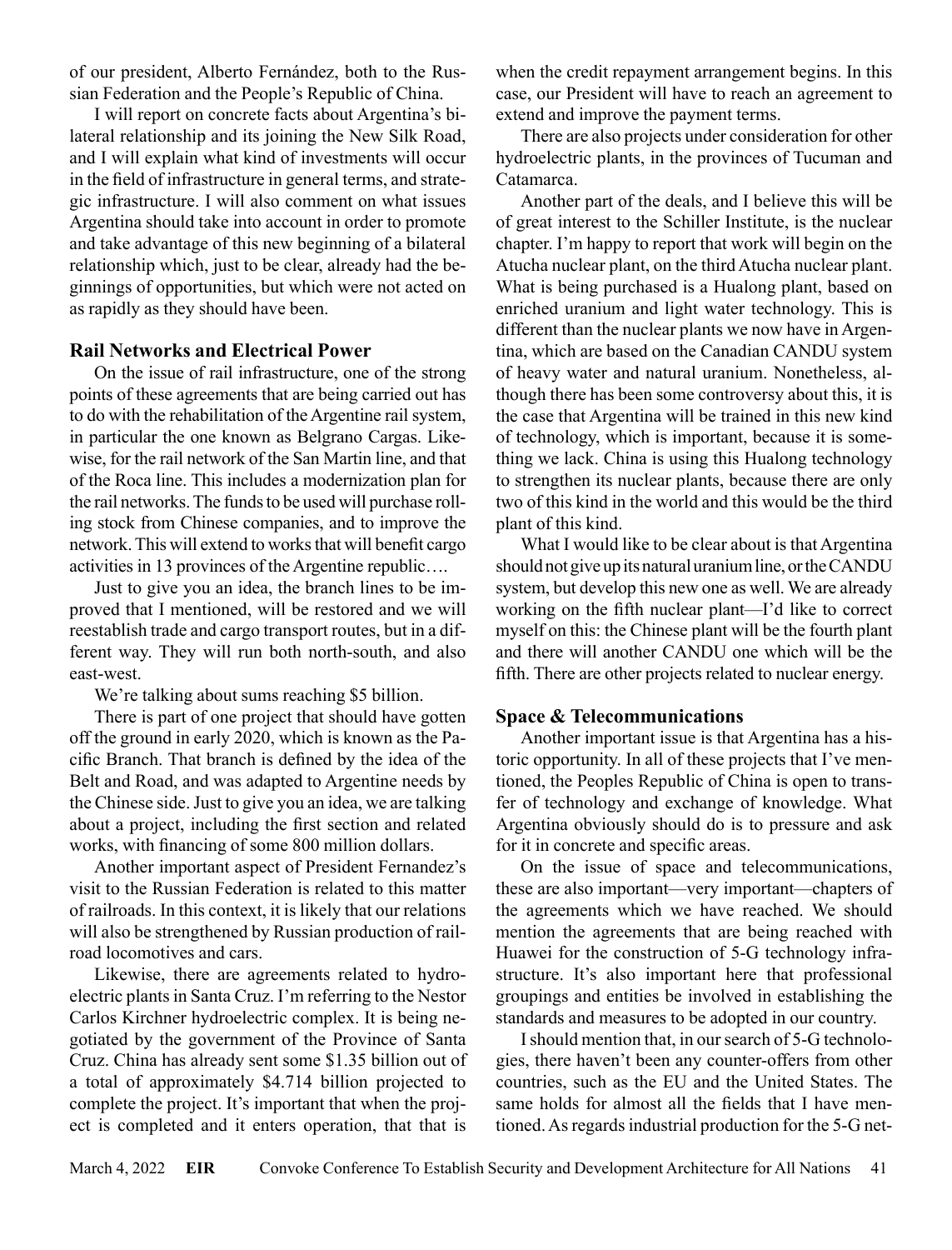of our president, Alberto Fernández, both to the Russian Federation and the People's Republic of China.

I will report on concrete facts about Argentina's bilateral relationship and its joining the New Silk Road, and I will explain what kind of investments will occur in the field of infrastructure in general terms, and strategic infrastructure. I will also comment on what issues Argentina should take into account in order to promote and take advantage of this new beginning of a bilateral relationship which, just to be clear, already had the beginnings of opportunities, but which were not acted on as rapidly as they should have been.

#### **Rail Networks and Electrical Power**

On the issue of rail infrastructure, one of the strong points of these agreements that are being carried out has to do with the rehabilitation of the Argentine rail system, in particular the one known as Belgrano Cargas. Likewise, for the rail network of the San Martin line, and that of the Roca line. This includes a modernization plan for the rail networks. The funds to be used will purchase rolling stock from Chinese companies, and to improve the network. This will extend to works that will benefit cargo activities in 13 provinces of the Argentine republic….

Just to give you an idea, the branch lines to be improved that I mentioned, will be restored and we will reestablish trade and cargo transport routes, but in a different way. They will run both north-south, and also east-west.

We're talking about sums reaching \$5 billion.

There is part of one project that should have gotten off the ground in early 2020, which is known as the Pacific Branch. That branch is defined by the idea of the Belt and Road, and was adapted to Argentine needs by the Chinese side. Just to give you an idea, we are talking about a project, including the first section and related works, with financing of some 800 million dollars.

Another important aspect of President Fernandez's visit to the Russian Federation is related to this matter of railroads. In this context, it is likely that our relations will also be strengthened by Russian production of railroad locomotives and cars.

Likewise, there are agreements related to hydroelectric plants in Santa Cruz. I'm referring to the Nestor Carlos Kirchner hydroelectric complex. It is being negotiated by the government of the Province of Santa Cruz. China has already sent some \$1.35 billion out of a total of approximately \$4.714 billion projected to complete the project. It's important that when the project is completed and it enters operation, that that is

when the credit repayment arrangement begins. In this case, our President will have to reach an agreement to extend and improve the payment terms.

There are also projects under consideration for other hydroelectric plants, in the provinces of Tucuman and Catamarca.

Another part of the deals, and I believe this will be of great interest to the Schiller Institute, is the nuclear chapter. I'm happy to report that work will begin on the Atucha nuclear plant, on the third Atucha nuclear plant. What is being purchased is a Hualong plant, based on enriched uranium and light water technology. This is different than the nuclear plants we now have in Argentina, which are based on the Canadian CANDU system of heavy water and natural uranium. Nonetheless, although there has been some controversy about this, it is the case that Argentina will be trained in this new kind of technology, which is important, because it is something we lack. China is using this Hualong technology to strengthen its nuclear plants, because there are only two of this kind in the world and this would be the third plant of this kind.

What I would like to be clear about is that Argentina should not give up its natural uranium line, or the CANDU system, but develop this new one as well. We are already working on the fifth nuclear plant—I'd like to correct myself on this: the Chinese plant will be the fourth plant and there will another CANDU one which will be the fifth. There are other projects related to nuclear energy.

#### **Space & Telecommunications**

Another important issue is that Argentina has a historic opportunity. In all of these projects that I've mentioned, the Peoples Republic of China is open to transfer of technology and exchange of knowledge. What Argentina obviously should do is to pressure and ask for it in concrete and specific areas.

On the issue of space and telecommunications, these are also important—very important—chapters of the agreements which we have reached. We should mention the agreements that are being reached with Huawei for the construction of 5-G technology infrastructure. It's also important here that professional groupings and entities be involved in establishing the standards and measures to be adopted in our country.

I should mention that, in our search of 5-G technologies, there haven't been any counter-offers from other countries, such as the EU and the United States. The same holds for almost all the fields that I have mentioned. As regards industrial production for the 5-G net-